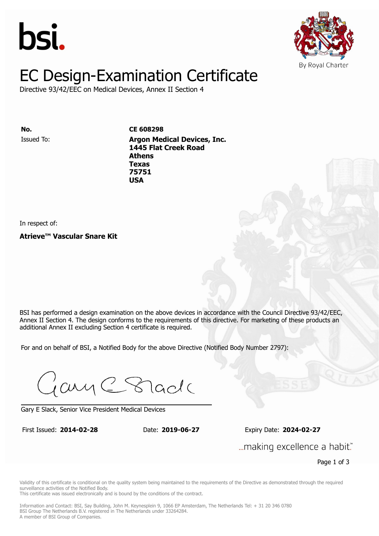



# EC Design-Examination Certificate

Directive 93/42/EEC on Medical Devices, Annex II Section 4

Issued To: **Argon Medical Devices, Inc. No. CE 608298 1445 Flat Creek Road Athens** Issued To: **Argon Medical Devices, Inc. Texas 1445 Flat Creek Road 75751 Athens Texas 75751 USA**

In respect of:

**Atrieve™ Vascular Snare Kit**

BSI has performed a design examination on the above devices in accordance with the Council Directive 93/42/EEC. Annex II Section 4. The design conforms to the requirements of this directive. For marketing of these products an additional Annex II excluding Section 4 certificate is required.

For and on behalf of BSI, a Notified Body for the above Directive (Notified Body Number 2797):

Gary C Stade

Gary E Slack, Senior Vice President Medical Devices

First Issued: **2014-02-28** Date: **2019-06-27** Expiry Date: **2024-02-27** First Issued: **2014-02-28** Date: **2019-06-27** Expiry Date: **2024-02-27**

... making excellence a habit."

Page 1 of 3

Validity of this certificate is conditional on the quality system being maintained to the requirements of the Directive as demonstrated through the required surveillance activities of the Notified Body.

This certificate was issued electronically and is bound by the conditions of the contract.

Information and Contact: BSI, Say Building, John M. Keynesplein 9, 1066 EP Amsterdam, The Netherlands Tel: + 31 20 346 0780 BSI Group The Netherlands B.V. registered in The Netherlands under 33264284. A member of BSI Group of Companies.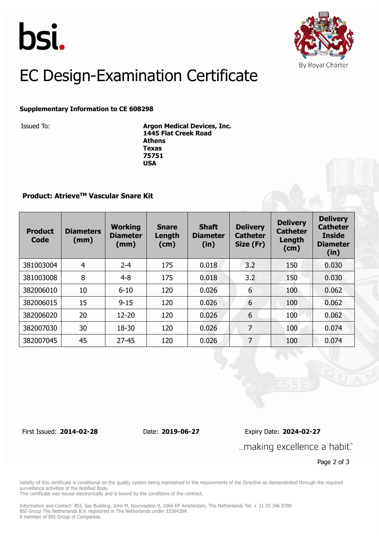



# EC Design-Examination Certificate

### **Supplementary Information to CE 608298**

Issued To: **Argon Medical Devices, Inc. 1445 Flat Creek Road Athens Texas 75751 USA**

### **Product: AtrieveTM Vascular Snare Kit**

| <b>Product</b><br>Code | <b>Diameters</b><br>(mm) | <b>Working</b><br><b>Diameter</b><br>(mm) | <b>Snare</b><br>Length<br>(cm) | <b>Shaft</b><br><b>Diameter</b><br>(in) | <b>Delivery</b><br><b>Catheter</b><br>Size (Fr) | <b>Delivery</b><br><b>Catheter</b><br>Length<br>(cm) | <b>Delivery</b><br><b>Catheter</b><br><b>Inside</b><br><b>Diameter</b><br>(in) |
|------------------------|--------------------------|-------------------------------------------|--------------------------------|-----------------------------------------|-------------------------------------------------|------------------------------------------------------|--------------------------------------------------------------------------------|
| 381003004              | $\overline{4}$           | $2 - 4$                                   | 175                            | 0.018                                   | 3.2                                             | 150                                                  | 0.030                                                                          |
| 381003008              | 8                        | $4 - 8$                                   | 175                            | 0.018                                   | 3.2                                             | 150                                                  | 0.030                                                                          |
| 382006010              | 10                       | $6 - 10$                                  | 120                            | 0.026                                   | 6                                               | 100                                                  | 0.062                                                                          |
| 382006015              | 15                       | $9 - 15$                                  | 120                            | 0.026                                   | 6                                               | 100                                                  | 0.062                                                                          |
| 382006020              | 20                       | $12 - 20$                                 | 120                            | 0.026                                   | 6                                               | 100                                                  | 0.062                                                                          |
| 382007030              | 30                       | 18-30                                     | 120                            | 0.026                                   | 7                                               | 100                                                  | 0.074                                                                          |
| 382007045              | 45                       | $27 - 45$                                 | 120                            | 0.026                                   | 7                                               | 100                                                  | 0.074                                                                          |

First Issued: **2014-02-28** Date: **2019-06-27** Expiry Date: **2024-02-27**

... making excellence a habit."

Page 2 of 3

Validity of this certificate is conditional on the quality system being maintained to the requirements of the Directive as demonstrated through the required surveillance activities of the Notified Body.

This certificate was issued electronically and is bound by the conditions of the contract.

Information and Contact: BSI, Say Building, John M. Keynesplein 9, 1066 EP Amsterdam, The Netherlands Tel: + 31 20 346 0780 BSI Group The Netherlands B.V. registered in The Netherlands under 33264284. A member of BSI Group of Companies.